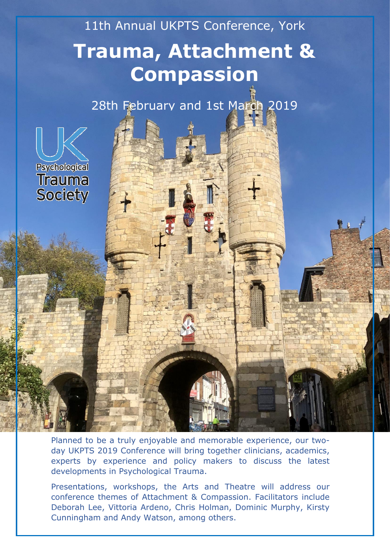# 11th Annual UKPTS Conference, York **Trauma, Attachment & Compassion**

28th February and 1st March 2019



Planned to be a truly enjoyable and memorable experience, our twoday UKPTS 2019 Conference will bring together clinicians, academics, experts by experience and policy makers to discuss the latest developments in Psychological Trauma.

Presentations, workshops, the Arts and Theatre will address our conference themes of Attachment & Compassion. Facilitators include Deborah Lee, Vittoria Ardeno, Chris Holman, Dominic Murphy, Kirsty Cunningham and Andy Watson, among others.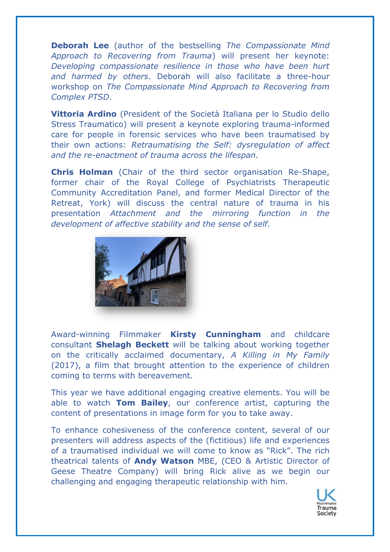**Deborah Lee** (author of the bestselling *The Compassionate Mind Approach to Recovering from Trauma*) will present her keynote: *Developing compassionate resilience in those who have been hurt and harmed by others*. Deborah will also facilitate a three-hour workshop on *The Compassionate Mind Approach to Recovering from Complex PTSD*.

**Vittoria Ardino** (President of the Società Italiana per lo Studio dello Stress Traumatico) will present a keynote exploring trauma-informed care for people in forensic services who have been traumatised by their own actions: *Retraumatising the Self: dysregulation of affect and the re-enactment of trauma across the lifespan.*

**Chris Holman** (Chair of the third sector organisation Re-Shape, former chair of the Royal College of Psychiatrists Therapeutic Community Accreditation Panel, and former Medical Director of the Retreat, York) will discuss the central nature of trauma in his presentation *Attachment and the mirroring function in the development of affective stability and the sense of self*.



Award-winning Filmmaker **Kirsty Cunningham** and childcare consultant **Shelagh Beckett** will be talking about working together on the critically acclaimed documentary, *A Killing in My Family* (2017), a film that brought attention to the experience of children coming to terms with bereavement.

This year we have additional engaging creative elements. You will be able to watch **Tom Bailey**, our conference artist, capturing the content of presentations in image form for you to take away.

To enhance cohesiveness of the conference content, several of our presenters will address aspects of the (fictitious) life and experiences of a traumatised individual we will come to know as "Rick". The rich theatrical talents of **Andy Watson** MBE, (CEO & Artistic Director of Geese Theatre Company) will bring Rick alive as we begin our challenging and engaging therapeutic relationship with him.

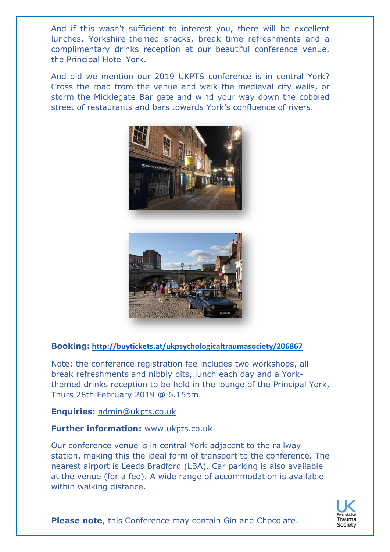And if this wasn't sufficient to interest you, there will be excellent lunches, Yorkshire-themed snacks, break time refreshments and a complimentary drinks reception at our beautiful conference venue, the Principal Hotel York.

And did we mention our 2019 UKPTS conference is in central York? Cross the road from the venue and walk the medieval city walls, or storm the Micklegate Bar gate and wind your way down the cobbled street of restaurants and bars towards York's confluence of rivers.





#### **Booking: <http://buytickets.at/ukpsychologicaltraumasociety/206867>**

Note: the conference registration fee includes two workshops, all break refreshments and nibbly bits, lunch each day and a Yorkthemed drinks reception to be held in the lounge of the Principal York, Thurs 28th February 2019 @ 6.15pm.

**Enquiries:** [admin@ukpts.co.uk](mailto:admin@ukpts.co.uk)

#### **Further information:** [www.ukpts.co.uk](http://www.ukpts.co.uk/)

Our conference venue is in central York adjacent to the railway station, making this the ideal form of transport to the conference. The nearest airport is Leeds Bradford (LBA). Car parking is also available at the venue (for a fee). A wide range of accommodation is available within walking distance.



**Please note**, this Conference may contain Gin and Chocolate.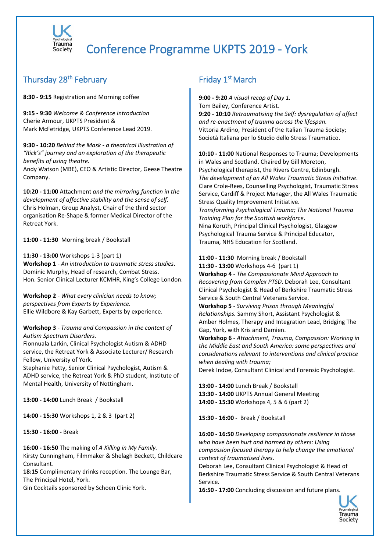

# Conference Programme UKPTS 2019 - York

### Thursday 28<sup>th</sup> February

**8:30 - 9:15** Registration and Morning coffee

**9:15 - 9:30** *Welcome & Conference introduction* Cherie Armour, UKPTS President & Mark McFetridge, UKPTS Conference Lead 2019.

**9:30 - 10:20** *Behind the Mask - a theatrical illustration of "Rick's" journey and an exploration of the therapeutic benefits of using theatre.*

Andy Watson (MBE), CEO & Artistic Director, Geese Theatre Company.

**10:20 - 11:00** Attachment *and the mirroring function in the development of affective stability and the sense of self.* Chris Holman, Group Analyst, Chair of the third sector organisation Re-Shape & former Medical Director of the Retreat York.

**11:00 - 11:30** Morning break / Bookstall

**11:30 - 13:00** Workshops 1-3 (part 1) **Workshop 1** - *An introduction to traumatic stress studies*. Dominic Murphy, Head of research, Combat Stress. Hon. Senior Clinical Lecturer KCMHR, King's College London.

**Workshop 2** - *What every clinician needs to know; perspectives from Experts by Experience.* Ellie Wildbore & Kay Garbett, Experts by experience.

**Workshop 3** - *Trauma and Compassion in the context of Autism Spectrum Disorders.*

Fionnuala Larkin, Clinical Psychologist Autism & ADHD service, the Retreat York & Associate Lecturer/ Research Fellow, University of York.

Stephanie Petty, Senior Clinical Psychologist, Autism & ADHD service, the Retreat York & PhD student, Institute of Mental Health, University of Nottingham.

**13:00 - 14:00** Lunch Break / Bookstall

**14:00 - 15:30** Workshops 1, 2 & 3 (part 2)

**15:30 - 16:00 -** Break

**16:00 - 16:50** The making of *A Killing in My Family.* Kirsty Cunningham, Filmmaker & Shelagh Beckett, Childcare Consultant.

**18:15** Complimentary drinks reception. The Lounge Bar, The Principal Hotel, York.

Gin Cocktails sponsored by Schoen Clinic York.

## Friday 1<sup>st</sup> March

**9:00 - 9:20** *A visual recap of Day 1.* Tom Bailey, Conference Artist. **9:20 - 10:10** *Retraumatising the Self: dysregulation of affect and re-enactment of trauma across the lifespan.* Vittoria Ardino, President of the Italian Trauma Society; Società Italiana per lo Studio dello Stress Traumatico.

**10:10 - 11:00** National Responses to Trauma; Developments in Wales and Scotland. Chaired by Gill Moreton, Psychological therapist, the Rivers Centre, Edinburgh. *The development of an All Wales Traumatic Stress Initiative.* Clare Crole-Rees, Counselling Psychologist, Traumatic Stress Service, Cardiff & Project Manager, the All Wales Traumatic Stress Quality Improvement Initiative. *Transforming Psychological Trauma; The National Trauma Training Plan for the Scottish workforce*. Nina Koruth, Principal Clinical Psychologist, Glasgow Psychological Trauma Service & Principal Educator, Trauma, NHS Education for Scotland.

**11:00 - 11:30** Morning break / Bookstall

**11:30 - 13:00** Workshops 4-6 (part 1)

**Workshop 4** - *The Compassionate Mind Approach to Recovering from Complex PTSD*. Deborah Lee, Consultant Clinical Psychologist & Head of Berkshire Traumatic Stress Service & South Central Veterans Service.

**Workshop 5** - *Surviving Prison through Meaningful Relationships.* Sammy Short, Assistant Psychologist & Amber Holmes, Therapy and Integration Lead, Bridging The Gap, York, with Kris and Damien.

**Workshop 6** - *Attachment, Trauma, Compassion: Working in the Middle East and South America: some perspectives and considerations relevant to interventions and clinical practice when dealing with trauma;*

Derek Indoe, Consultant Clinical and Forensic Psychologist.

**13:00 - 14:00** Lunch Break / Bookstall **13:30 - 14:00** UKPTS Annual General Meeting **14:00 - 15:30** Workshops 4, 5 & 6 (part 2)

**15:30 - 16:00 -** Break / Bookstall

**16:00 - 16:50** *Developing compassionate resilience in those who have been hurt and harmed by others: Using compassion focused therapy to help change the emotional context of traumatised lives*.

Deborah Lee, Consultant Clinical Psychologist & Head of Berkshire Traumatic Stress Service & South Central Veterans Service.

**16:50 - 17:00** Concluding discussion and future plans.